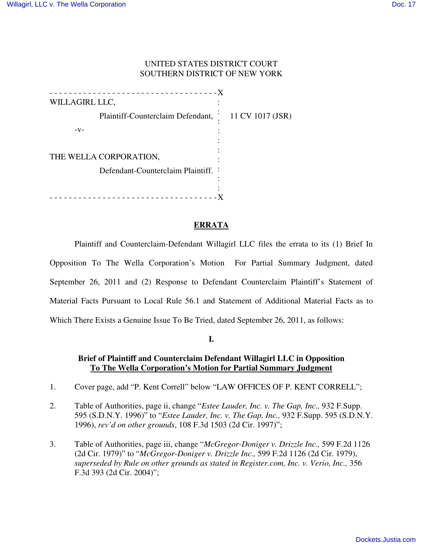#### UNITED STATES DISTRICT COURT SOUTHERN DISTRICT OF NEW YORK

- - - - - - - - - - - - - - - - - - - - - - - - - - - - - - - - - - -X WILLAGIRL LLC, Plaintiff-Counterclaim Defendant,  $-V-$ THE WELLA CORPORATION, Defendant-Counterclaim Plaintiff. : :  $\frac{1}{2}$  11 CV 1017 (JSR) : : : : : : - - - - - - - - - - - - - - - - - - - - - - - - - - - - - - - - - - -X

#### **ERRATA**

Plaintiff and Counterclaim-Defendant Willagirl LLC files the errata to its (1) Brief In Opposition To The Wella Corporation's Motion For Partial Summary Judgment, dated September 26, 2011 and (2) Response to Defendant Counterclaim Plaintiff's Statement of Material Facts Pursuant to Local Rule 56.1 and Statement of Additional Material Facts as to Which There Exists a Genuine Issue To Be Tried, dated September 26, 2011, as follows:

### **I.**

### **Brief of Plaintiff and Counterclaim Defendant Willagirl LLC in Opposition To The Wella Corporation's Motion for Partial Summary Judgment**

- 1. Cover page, add "P. Kent Correll" below "LAW OFFICES OF P. KENT CORRELL";
- 2. Table of Authorities, page ii, change "*Estee Lauder, Inc. v. The Gap, Inc.,* 932 F.Supp. 595 (S.D.N.Y. 1996)" to "*Estee Lauder, Inc. v. The Gap, Inc.,* 932 F.Supp. 595 (S.D.N.Y. 1996), *rev'd on other grounds*, 108 F.3d 1503 (2d Cir. 1997)";
- 3. Table of Authorities, page iii, change "*McGregor-Doniger v. Drizzle Inc.,* 599 F.2d 1126 (2d Cir. 1979)" to "*McGregor-Doniger v. Drizzle Inc.,* 599 F.2d 1126 (2d Cir. 1979), *superseded by Rule on other grounds as stated in Register.com, Inc. v. Verio, Inc.,* 356 F.3d 393 (2d Cir. 2004)";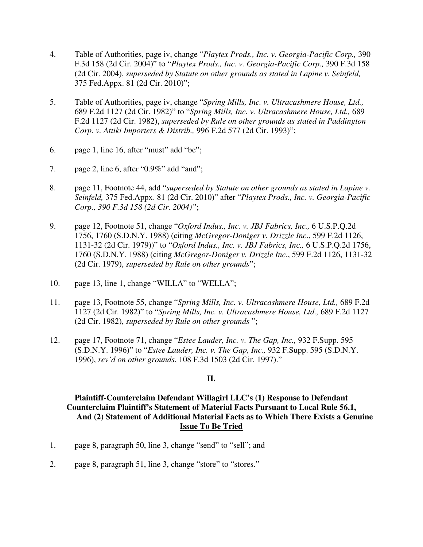- 4. Table of Authorities, page iv, change "*Playtex Prods., Inc. v. Georgia-Pacific Corp.,* 390 F.3d 158 (2d Cir. 2004)" to "*Playtex Prods., Inc. v. Georgia-Pacific Corp.,* 390 F.3d 158 (2d Cir. 2004), *superseded by Statute on other grounds as stated in Lapine v. Seinfeld,* 375 Fed.Appx. 81 (2d Cir. 2010)";
- 5. Table of Authorities, page iv, change "*Spring Mills, Inc. v. Ultracashmere House, Ltd.,* 689 F.2d 1127 (2d Cir. 1982)" to "*Spring Mills, Inc. v. Ultracashmere House, Ltd.,* 689 F.2d 1127 (2d Cir. 1982), *superseded by Rule on other grounds as stated in Paddington Corp. v. Attiki Importers & Distrib.,* 996 F.2d 577 (2d Cir. 1993)";
- 6. page 1, line 16, after "must" add "be";
- 7. page 2, line 6, after "0.9%" add "and";
- 8. page 11, Footnote 44, add "*superseded by Statute on other grounds as stated in Lapine v. Seinfeld,* 375 Fed.Appx. 81 (2d Cir. 2010)" after "*Playtex Prods., Inc. v. Georgia-Pacific Corp., 390 F.3d 158 (2d Cir. 2004)"*;
- 9. page 12, Footnote 51, change "*Oxford Indus., Inc. v. JBJ Fabrics, Inc.,* 6 U.S.P.Q.2d 1756, 1760 (S.D.N.Y. 1988) (citing *McGregor-Doniger v. Drizzle Inc*., 599 F.2d 1126, 1131-32 (2d Cir. 1979))" to "*Oxford Indus., Inc. v. JBJ Fabrics, Inc.,* 6 U.S.P.Q.2d 1756, 1760 (S.D.N.Y. 1988) (citing *McGregor-Doniger v. Drizzle Inc*., 599 F.2d 1126, 1131-32 (2d Cir. 1979), *superseded by Rule on other grounds*";
- 10. page 13, line 1, change "WILLA" to "WELLA";
- 11. page 13, Footnote 55, change "*Spring Mills, Inc. v. Ultracashmere House, Ltd.,* 689 F.2d 1127 (2d Cir. 1982)" to "*Spring Mills, Inc. v. Ultracashmere House, Ltd.,* 689 F.2d 1127 (2d Cir. 1982), *superseded by Rule on other grounds* ";
- 12. page 17, Footnote 71, change "*Estee Lauder, Inc. v. The Gap, Inc.,* 932 F.Supp. 595 (S.D.N.Y. 1996)" to "*Estee Lauder, Inc. v. The Gap, Inc.,* 932 F.Supp. 595 (S.D.N.Y. 1996), *rev'd on other grounds*, 108 F.3d 1503 (2d Cir. 1997)."

### **II.**

## **Plaintiff-Counterclaim Defendant Willagirl LLC's (1) Response to Defendant Counterclaim Plaintiff's Statement of Material Facts Pursuant to Local Rule 56.1, And (2) Statement of Additional Material Facts as to Which There Exists a Genuine Issue To Be Tried**

- 1. page 8, paragraph 50, line 3, change "send" to "sell"; and
- 2. page 8, paragraph 51, line 3, change "store" to "stores."